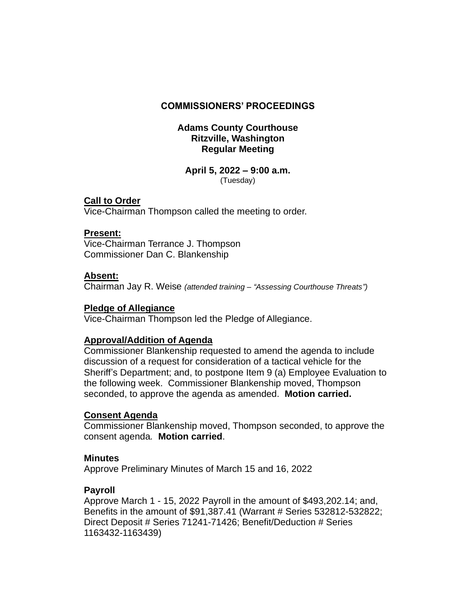### **COMMISSIONERS' PROCEEDINGS**

### **Adams County Courthouse Ritzville, Washington Regular Meeting**

#### **April 5, 2022 – 9:00 a.m.** (Tuesday)

## **Call to Order**

Vice-Chairman Thompson called the meeting to order.

#### **Present:**

Vice-Chairman Terrance J. Thompson Commissioner Dan C. Blankenship

#### **Absent:**

Chairman Jay R. Weise *(attended training – "Assessing Courthouse Threats")*

#### **Pledge of Allegiance**

Vice-Chairman Thompson led the Pledge of Allegiance.

#### **Approval/Addition of Agenda**

Commissioner Blankenship requested to amend the agenda to include discussion of a request for consideration of a tactical vehicle for the Sheriff's Department; and, to postpone Item 9 (a) Employee Evaluation to the following week. Commissioner Blankenship moved, Thompson seconded, to approve the agenda as amended. **Motion carried.**

#### **Consent Agenda**

Commissioner Blankenship moved, Thompson seconded, to approve the consent agenda*.* **Motion carried**.

#### **Minutes**

Approve Preliminary Minutes of March 15 and 16, 2022

#### **Payroll**

Approve March 1 - 15, 2022 Payroll in the amount of \$493,202.14; and, Benefits in the amount of \$91,387.41 (Warrant # Series 532812-532822; Direct Deposit # Series 71241-71426; Benefit/Deduction # Series 1163432-1163439)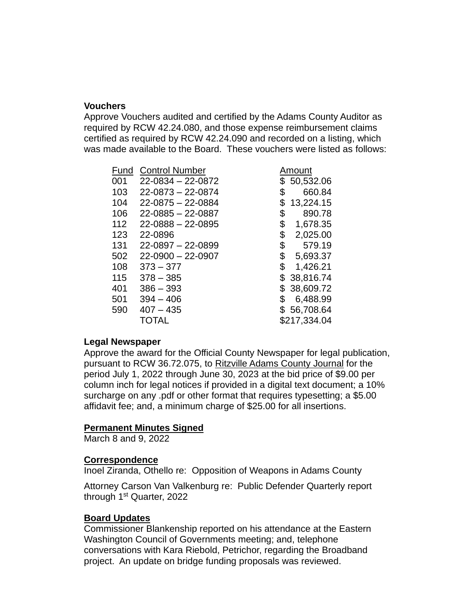### **Vouchers**

Approve Vouchers audited and certified by the Adams County Auditor as required by RCW 42.24.080, and those expense reimbursement claims certified as required by RCW 42.24.090 and recorded on a listing, which was made available to the Board. These vouchers were listed as follows:

| Fund | <b>Control Number</b>   | Amount          |  |
|------|-------------------------|-----------------|--|
| 001  | $22 - 0834 - 22 - 0872$ | 50,532.06       |  |
| 103  | $22 - 0873 - 22 - 0874$ | \$<br>660.84    |  |
| 104  | $22 - 0875 - 22 - 0884$ | \$<br>13,224.15 |  |
| 106  | $22 - 0885 - 22 - 0887$ | \$<br>890.78    |  |
| 112  | $22 - 0888 - 22 - 0895$ | \$<br>1,678.35  |  |
| 123  | 22-0896                 | \$<br>2,025.00  |  |
| 131  | $22 - 0897 - 22 - 0899$ | \$<br>579.19    |  |
| 502  | $22 - 0900 - 22 - 0907$ | \$<br>5,693.37  |  |
| 108  | $373 - 377$             | \$<br>1,426.21  |  |
| 115  | $378 - 385$             | \$38,816.74     |  |
| 401  | $386 - 393$             | \$38,609.72     |  |
| 501  | $394 - 406$             | \$<br>6,488.99  |  |
| 590  | $407 - 435$             | 56,708.64       |  |
|      | TOTAL                   | \$217,334.04    |  |

#### **Legal Newspaper**

Approve the award for the Official County Newspaper for legal publication, pursuant to RCW 36.72.075, to Ritzville Adams County Journal for the period July 1, 2022 through June 30, 2023 at the bid price of \$9.00 per column inch for legal notices if provided in a digital text document; a 10% surcharge on any .pdf or other format that requires typesetting; a \$5.00 affidavit fee; and, a minimum charge of \$25.00 for all insertions.

#### **Permanent Minutes Signed**

March 8 and 9, 2022

## **Correspondence**

Inoel Ziranda, Othello re: Opposition of Weapons in Adams County

Attorney Carson Van Valkenburg re: Public Defender Quarterly report through 1st Quarter, 2022

#### **Board Updates**

Commissioner Blankenship reported on his attendance at the Eastern Washington Council of Governments meeting; and, telephone conversations with Kara Riebold, Petrichor, regarding the Broadband project. An update on bridge funding proposals was reviewed.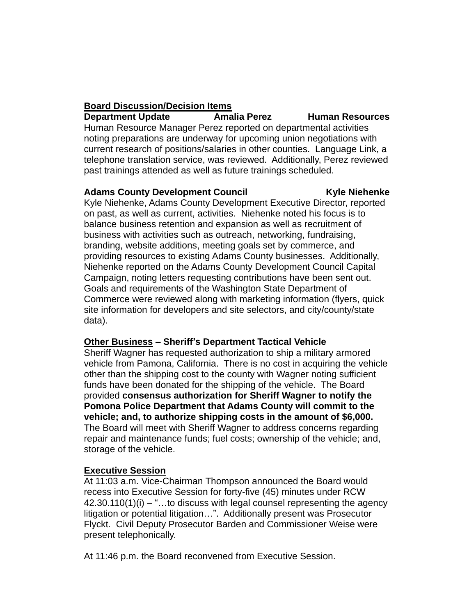# **Board Discussion/Decision Items**

**Department Update Amalia Perez Human Resources** Human Resource Manager Perez reported on departmental activities noting preparations are underway for upcoming union negotiations with current research of positions/salaries in other counties. Language Link, a telephone translation service, was reviewed. Additionally, Perez reviewed past trainings attended as well as future trainings scheduled.

## Adams County Development Council **Example 20 Kyle Niehenke**

Kyle Niehenke, Adams County Development Executive Director, reported on past, as well as current, activities. Niehenke noted his focus is to balance business retention and expansion as well as recruitment of business with activities such as outreach, networking, fundraising, branding, website additions, meeting goals set by commerce, and providing resources to existing Adams County businesses. Additionally, Niehenke reported on the Adams County Development Council Capital Campaign, noting letters requesting contributions have been sent out. Goals and requirements of the Washington State Department of Commerce were reviewed along with marketing information (flyers, quick site information for developers and site selectors, and city/county/state data).

## **Other Business – Sheriff's Department Tactical Vehicle**

Sheriff Wagner has requested authorization to ship a military armored vehicle from Pamona, California. There is no cost in acquiring the vehicle other than the shipping cost to the county with Wagner noting sufficient funds have been donated for the shipping of the vehicle. The Board provided **consensus authorization for Sheriff Wagner to notify the Pomona Police Department that Adams County will commit to the vehicle; and, to authorize shipping costs in the amount of \$6,000.** The Board will meet with Sheriff Wagner to address concerns regarding repair and maintenance funds; fuel costs; ownership of the vehicle; and, storage of the vehicle.

# **Executive Session**

At 11:03 a.m. Vice-Chairman Thompson announced the Board would recess into Executive Session for forty-five (45) minutes under RCW  $42.30.110(1)(i) -$ "...to discuss with legal counsel representing the agency litigation or potential litigation…". Additionally present was Prosecutor Flyckt. Civil Deputy Prosecutor Barden and Commissioner Weise were present telephonically.

At 11:46 p.m. the Board reconvened from Executive Session.